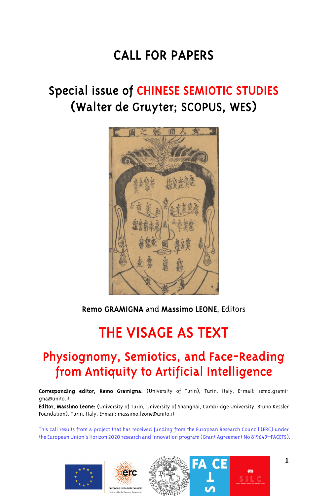# CALL FOR PAPERS

# Special issue of CHINESE SEMIOTIC STUDIES (Walter de Gruyter; SCOPUS, WES)



Remo GRAMIGNA and Massimo LEONE, Editors

# THE VISAGE AS TEXT

# Physiognomy, Semiotics, and Face-Reading from Antiquity to Artificial Intelligence

Corresponding editor, Remo Gramigna: (University of Turin), Turin, Italy, E-mail: remo.gramigna@unito.it

Editor, Massimo Leone: (University of Turin, University of Shanghai, Cambridge University, Bruno Kessler Foundation), Turin, Italy, E-mail: massimo.leone@unito.it

This call results from a project that has received funding from the European Research Council (ERC) under the European Union's Horizon 2020 research and innovation program (Grant Agreement No 819649–FACETS).

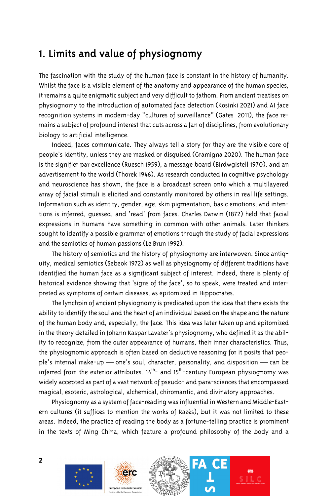#### 1. Limits and value of physiognomy

The fascination with the study of the human face is constant in the history of humanity. Whilst the face is a visible element of the anatomy and appearance of the human species, it remains a quite enigmatic subject and very difficult to fathom. From ancient treatises on physiognomy to the introduction of automated face detection (Kosinki 2021) and AI face recognition systems in modern-day "cultures of surveillance" (Gates 2011), the face remains a subject of profound interest that cuts across a fan of disciplines, from evolutionary biology to artificial intelligence.

Indeed, faces communicate. They always tell a story for they are the visible core of people's identity, unless they are masked or disguised (Gramigna 2020). The human face is the signifier par excellence (Ruesch 1959), a message board (Birdwgistell 1970), and an advertisement to the world (Thorek 1946). As research conducted in cognitive psychology and neuroscience has shown, the face is a broadcast screen onto which a multilayered array of facial stimuli is elicited and constantly monitored by others in real life settings. Information such as identity, gender, age, skin pigmentation, basic emotions, and intentions is inferred, guessed, and 'read' from faces. Charles Darwin (1872) held that facial expressions in humans have something in common with other animals. Later thinkers sought to identify a possible grammar of emotions through the study of facial expressions and the semiotics of human passions (Le Brun 1992).

The history of semiotics and the history of physiognomy are interwoven. Since antiquity, medical semiotics (Sebeok 1972) as well as physiognomy of different traditions have identified the human face as a significant subject of interest. Indeed, there is plenty of historical evidence showing that 'signs of the face', so to speak, were treated and interpreted as symptoms of certain diseases, as epitomized in Hippocrates.

The lynchpin of ancient physiognomy is predicated upon the idea that there exists the ability to identify the soul and the heart of an individual based on the shape and the nature of the human body and, especially, the face. This idea was later taken up and epitomized in the theory detailed in Johann Kaspar Lavater's physiognomy, who defined it as the ability to recognize, from the outer appearance of humans, their inner characteristics. Thus, the physiognomic approach is often based on deductive reasoning for it posits that people's internal make-up  $-$  one's soul, character, personality, and disposition  $-$  can be inferred from the exterior attributes.  $14^{\text{th}}$ - and  $15^{\text{th}}$ -century European physiognomy was widely accepted as part of a vast network of pseudo- and para-sciences that encompassed magical, esoteric, astrological, alchemical, chiromantic, and divinatory approaches.

Physiognomy as a system of face-reading was influential in Western and Middle-Eastern cultures (it suffices to mention the works of Razès), but it was not limited to these areas. Indeed, the practice of reading the body as a fortune-telling practice is prominent in the texts of Ming China, which feature a profound philosophy of the body and a

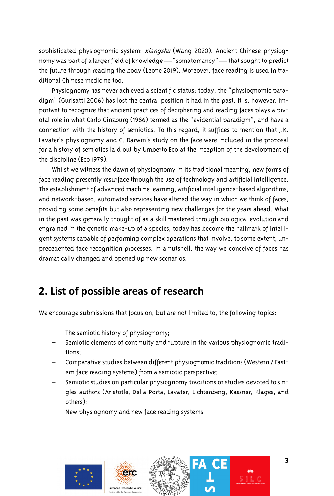sophisticated physiognomic system: xiangshu (Wang 2020). Ancient Chinese physiognomy was part of a larger field of knowledge — "somatomancy" — that sought to predict the future through reading the body (Leone 2019). Moreover, face reading is used in traditional Chinese medicine too.

Physiognomy has never achieved a scientific status; today, the "physiognomic paradigm" (Gurisatti 2006) has lost the central position it had in the past. It is, however, important to recognize that ancient practices of deciphering and reading faces plays a pivotal role in what Carlo Ginzburg (1986) termed as the "evidential paradigm", and have a connection with the history of semiotics. To this regard, it suffices to mention that J.K. Lavater's physiognomy and C. Darwin's study on the face were included in the proposal for a history of semiotics laid out by Umberto Eco at the inception of the development of the discipline (Eco 1979).

Whilst we witness the dawn of physiognomy in its traditional meaning, new forms of face reading presently resurface through the use of technology and artificial intelligence. The establishment of advanced machine learning, artificial intelligence-based algorithms, and network-based, automated services have altered the way in which we think of faces, providing some benefits but also representing new challenges for the years ahead. What in the past was generally thought of as a skill mastered through biological evolution and engrained in the genetic make-up of a species, today has become the hallmark of intelligent systems capable of performing complex operations that involve, to some extent, unprecedented face recognition processes. In a nutshell, the way we conceive of faces has dramatically changed and opened up new scenarios.

### **2. List of possible areas of research**

We encourage submissions that focus on, but are not limited to, the following topics:

- The semiotic history of physiognomy;
- Semiotic elements of continuity and rupture in the various physiognomic traditions;
- Comparative studies between different physiognomic traditions (Western / Eastern face reading systems) from a semiotic perspective;
- Semiotic studies on particular physiognomy traditions or studies devoted to singles authors (Aristotle, Della Porta, Lavater, Lichtenberg, Kassner, Klages, and others);
- New physiognomy and new face reading systems;

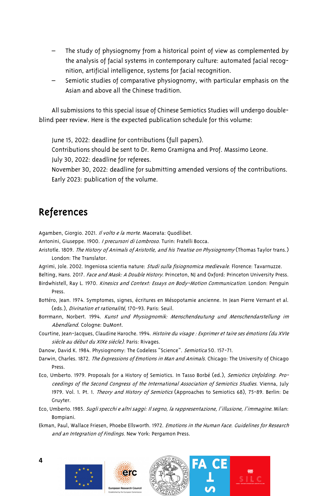- The study of physiognomy from a historical point of view as complemented by the analysis of facial systems in contemporary culture: automated facial recognition, artificial intelligence, systems for facial recognition.
- Semiotic studies of comparative physiognomy, with particular emphasis on the Asian and above all the Chinese tradition.

All submissions to this special issue of Chinese Semiotics Studies will undergo doubleblind peer review. Here is the expected publication schedule for this volume:

June 15, 2022: deadline for contributions (full papers).

Contributions should be sent to Dr. Remo Gramigna and Prof. Massimo Leone. July 30, 2022: deadline for referees.

November 30, 2022: deadline for submitting amended versions of the contributions. Early 2023: publication of the volume.

### References

Agamben, Giorgio. 2021. Il volto e la morte. Macerata: Quodlibet.

Antonini, Giuseppe. 1900. *I precursori di Lombroso*. Turin: Fratelli Bocca.

- Aristotle. 1809. The History of Animals of Aristotle, and his Treatise on Physiognomy (Thomas Taylor trans.) London: The Translator.
- Agrimi, Jole. 2002. Ingeniosa scientia nature: Studi sulla fisiognomica medievale. Florence: Tavarnuzze.
- Belting, Hans. 2017. Face and Mask: A Double History. Princeton, NJ and Oxford: Princeton University Press.
- Birdwhistell, Ray L. 1970. Kinesics and Context: Essays on Body-Motion Communication. London: Penguin Press.

Bottéro, Jean. 1974. Symptomes, signes, écritures en Mésopotamie ancienne. In Jean Pierre Vernant et al. (eds.), Divination et rationalité, 170-93. Paris: Seuil.

- Borrmann, Norbert. 1994. Kunst und Physiognomik: Menschendeutung und Menschendarstellung im Abendland. Cologne: DuMont.
- Courtine, Jean-Jacques, Claudine Haroche. 1994. Histoire du visage : Exprimer et taire ses émotions (du XVIe siècle au début du XIXe siècle). Paris: Rivages.

Danow, David K. 1984. Physiognomy: The Codeless "Science". Semiotica 50. 157-71.

- Darwin, Charles. 1872. The Expressions of Emotions in Man and Animals. Chicago: The University of Chicago Press.
- Eco, Umberto. 1979. Proposals for a History of Semiotics. In Tasso Borbé (ed.), Semiotics Unfolding. Proceedings of the Second Congress of the International Association of Semiotics Studies. Vienna, July 1979. Vol. 1. Pt. 1. Theory and History of Semiotics (Approaches to Semiotics 68), 75-89. Berlin: De Gruyter.
- Eco, Umberto. 1985. Sugli specchi e altri saggi: Il segno, la rappresentazione, l'illusione, l'immagine. Milan: Bompiani.
- Ekman, Paul, Wallace Friesen, Phoebe Ellsworth. 1972. Emotions in the Human Face. Guidelines for Research and an Integration of Findings. New York: Pergamon Press.

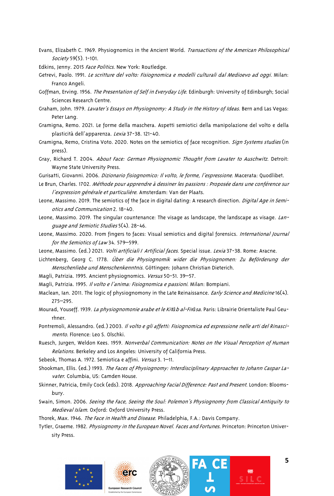- Evans, Elizabeth C. 1969. Physiognomics in the Ancient World. Transactions of the American Philosophical Society 59(5). 1-101.
- Edkins, Jenny. 2015 Face Politics. New York: Routledge.

Getrevi, Paolo. 1991. Le scritture del volto: Fisiognomica e modelli culturali dal Medioevo ad oggi. Milan: Franco Angeli.

- Goffman, Erving. 1956. The Presentation of Self in Everyday Life. Edinburgh: University of Edinburgh; Social Sciences Research Centre.
- Graham, John. 1979. Lavater's Essays on Physiognomy: A Study in the History of Ideas. Bern and Las Vegas: Peter Lang.
- Gramigna, Remo. 2021. Le forme della maschera. Aspetti semiotici della manipolazione del volto e della plasticità dell'apparenza. Lexia 37-38. 121-40.
- Gramigna, Remo, Cristina Voto. 2020. Notes on the semiotics of face recognition. Sign Systems studies (in press).
- Gray, Richard T. 2004. About Face: German Physiognomic Thought from Lavater to Auschwitz. Detroit: Wayne State University Press.
- Gurisatti, Giovanni. 2006. Dizionario fisiognomico: Il volto, le forme, l'espressione. Macerata: Quodlibet.
- Le Brun, Charles. 1702. Méthode pour apprendre à dessiner les passions : Proposée dans une conférence sur l'expression générale et particulière. Amsterdam: Van der Plaats.
- Leone, Massimo. 2019. The semiotics of the face in digital dating: A research direction. Digital Age in Semiotics and Communication 2. 18-40.
- Leone, Massimo. 2019. The singular countenance: The visage as landscape, the landscape as visage. Language and Semiotic Studies 5(4). 28-46.
- Leone, Massimo. 2020. From fingers to faces: Visual semiotics and digital forensics. International Journal for the Semiotics of Law 34. 579–599.
- Leone, Massimo. (ed.) 2021. Volti artificiali / Artificial faces. Special issue. Lexia 37-38. Rome: Aracne.
- Lichtenberg, Georg C. 1778. Über die Physiognomik wider die Physiognomen: Zu Beförderung der Menschenliebe und Menschenkenntnis. Göttingen: Johann Christian Dieterich.
- Magli, Patrizia. 1995. Ancient physiognomics. Versus 50-51. 39–57.
- Magli, Patrizia. 1995. Il volto e l'anima: Fisiognomica e passioni. Milan: Bompiani.
- Maclean, Ian. 2011. The logic of physiognomony in the Late Reinaissance. Early Science and Medicine 16(4). 275–295.
- Mourad, Youseff. 1939. La physiognomonie arabe et le Kit*ā*b al-Fir*ā*sa. Paris: Librairie Orientaliste Paul Geurhner.
- Pontremoli, Alessandro. (ed.) 2003. Il volto e gli affetti: Fisiognomica ed espressione nelle arti del Rinascimento. Florence: Leo S. Olschki.
- Ruesch, Jurgen, Weldon Kees. 1959. Nonverbal Communication: Notes on the Visual Perception of Human Relations. Berkeley and Los Angeles: University of California Press.
- Sebeok, Thomas A. 1972. Semiotica e affini. Versus 3. 1-11.
- Shookman, Ellis. (ed.) 1993. The Faces of Physiognomy: Interdisciplinary Approaches to Johann Caspar Lavater. Columbia, US: Camden House.
- Skinner, Patricia, Emily Cock (eds). 2018. Approaching Facial Difference: Past and Present. London: Bloomsbury.
- Swain, Simon. 2006. Seeing the Face, Seeing the Soul: Polemon's Physiognomy from Classical Antiquity to Medieval Islam. Oxford: Oxford University Press.

Thorek, Max. 1946. The Face in Health and Disease. Philadelphia, F.A.: Davis Company.

Tytler, Graeme. 1982. Physiognomy in the European Novel. Faces and Fortunes. Princeton: Princeton University Press.